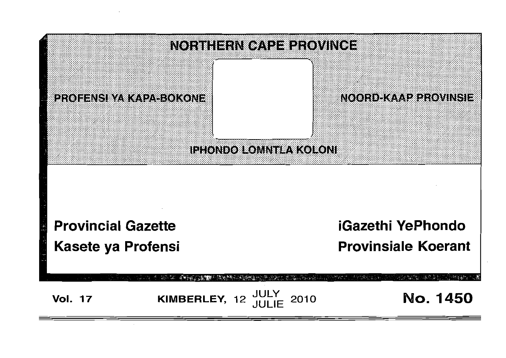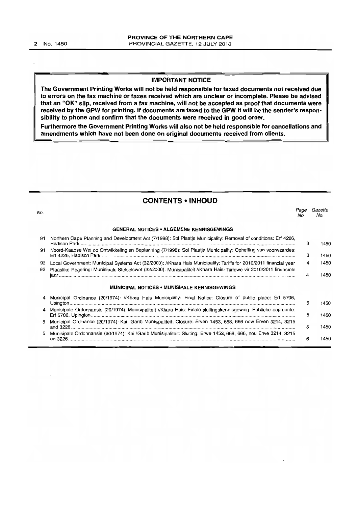# IMPORTANT NOTICE

The Government Printing Works will not be held responsible for faxed documents not received due to errors on the fax machine or faxes received which are unclear or incomplete. Please be advised that an "OK" slip, received from a fax machine, will not be accepted as proof that documents were received by the GPW for printing. If documents are faxed to the GPW it will be the sender's responsibility to phone and confirm that the documents were received in good order.

Furthermore the Government Printing Works will also not be held responsible for cancellations and amendments which have not been done on original documents received from clients.

# CONTENTS -INHOUD

| No.      |                                                                                                                                                                                                                                           | Page<br>No. | Gazette<br>No. |
|----------|-------------------------------------------------------------------------------------------------------------------------------------------------------------------------------------------------------------------------------------------|-------------|----------------|
|          | <b>GENERAL NOTICES • ALGEMENE KENNISGEWINGS</b>                                                                                                                                                                                           |             |                |
| 91       | Northern Cape Planning and Development Act (7/1998): Sol Plaatje Municipality: Removal of conditions: Erf 4226,                                                                                                                           | 3           | 1450           |
| 91       | Noord-Kaapse Wet op Ontwikkeling en Beplanning (7/1998): Sol Plaatje Municipality: Opheffing van voorwaardes:                                                                                                                             | з           | 1450           |
| 92<br>92 | Local Government: Municipal Systems Act (32/2000): //Khara Hais Municipality: Tariffs for 2010/2011 financial year<br>Plaaslike Regering: Munisipale Stelselswet (32/2000): Munisipaliteit //Khara Hais: Tariewe vir 2010/2011 finansiële | 4           | 1450           |
|          | <b>MUNICIPAL NOTICES • MUNISIPALE KENNISGEWINGS</b>                                                                                                                                                                                       | 4           | 1450           |
|          | Municipal Ordinance (20/1974): //Khara Hais Municipality: Final Notice: Closure of public place: Erf 5706,                                                                                                                                | 5           | 1450           |
|          | Munisipale Ordonnansie (20/1974): Munisipaliteit //Khara Hais: Finale sluitingskennisgewing: Publieke oopruimte:                                                                                                                          | 5           | 1450           |
|          | Municipal Ordinance (20/1974): Kai !Garib Munisipaliteit: Closure: Erven 1453, 668, 666 now Erven 3214, 3215                                                                                                                              | 6           | 1450           |
|          | Munisipale Ordonnansie (20/1974): Kai !Garib Munisipaliteit: Sluiting: Erwe 1453, 668, 666, nou Erwe 3214, 3215                                                                                                                           | 6           | 1450           |
|          |                                                                                                                                                                                                                                           |             |                |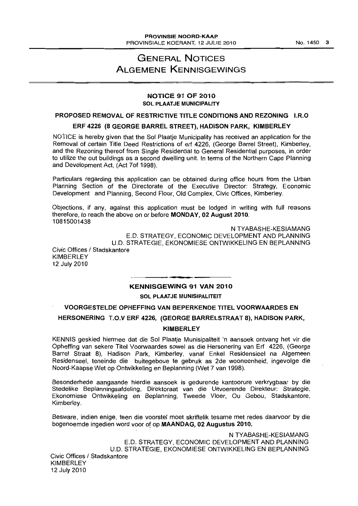# GENERAL NOTICES ALGEMENE KENNISGEWINGS

# NOTICE 91 OF 2010 SOL PLAATJE MUNICIPALITY

## PROPOSED REMOVAL OF RESTRICTIVE TITLE CONDITIONS AND REZONING I.R.O

## ERF 4226 (8 GEORGE BARREL STREET), HADISON PARK, KIMBERLEY

NOTICE is hereby given that the Sol Plaatie Municipality has received an application for the Removal of certain Title Deed Restrictions of erf 4226, (George Barrel Street), Kimberley, and the Rezoning thereof from Single Residential to General Residential purposes, in order to utilize the out buildings as a second dwelling unit. In terms of the Northern Cape Planning and Development Act, (Act 70f 1998).

Particulars regarding this application can be obtained during office hours from the Urban Planning Section of the Directorate of the Executive Director: Strategy, Economic Development and Planning, Second Floor, Old Complex, Civic Offices, Kimberley.

Objections, if any, against this application must be lodged in writing with full reasons therefore, to reach the above on or before MONDAY, 02 August 2010. 10815001438

N TYABASHE-KESIAMANG E.D. STRATEGY, ECONOMIC DEVELOPMENT AND PLANNING U.D. STRATEGIE, EKONOMIESE ONTWIKKELING EN BEPLANNING Civic Offices / Stadskantore **KIMBERLEY** 12 July 2010

#### • **• I**  KENNISGEWING 91 VAN 2010

SOL PLAATJE MUNISIPALITEIT

VOORGESTELDE OPHEFFING VAN BEPERKENDE TITEL VOORWAARDES EN HERSONERING T.O.V ERF 4226, (GEORGE BARRELSTRAAT 8), HADISON PARK,

# **KIMBERLEY**

KENNIS geskied hiermee dat die Sol Plaatje Munisipaliteit 'n aansoek ontvang het vir die Opheffing van sekere Titel Voorwaardes sowel as die Hersonering van Erf 4226, (George Barrel Straat 8), Hadison Park, Kimberley, vanaf Enkel Residensieel na Aigemeen Residenseel, teneinde die buitegeboue te gebruik as 2de wooneenheid, ingevolge die Noord-Kaapse Wet op Ontwikkeling en Beplanning (Wet 7 van 1998).

Besonderhede aangaande hierdie aansoek is gedurende kantoorure verkrygbaar by die Stedelike Beplanningsafdeling, Direktoraat van die Uitvoerende Direkteur: Strategie, Ekonomiese Ontwikkeling en Beplanning, Tweede Vloer, Ou Gebou, Stadskantore, Kimberley.

Besware, indien enige, teen die voorstel moet skriftelik tesame met redes daarvoor by die bogenoemde ingedien word voor of op MAANDAG, 02 Augustus 2010.

N TYABASHE-KESIAMANG E.D. STRATEGY, ECONOMIC DEVELOPMENT AND PLANNING U.D. STRATEGIE, EKONOMIESE ONTWIKKELING EN BEPLANNING Civic Offices / Stadskantore KIMBERLEY 12 July 2010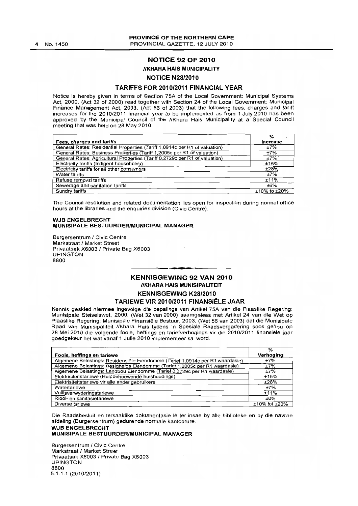#### PROVINCE OF THE NORTHERN CAPE PROVINCIAL GAZETTE, 12 JULY 2010

# NOTICE 92 OF 2010

## **//KHARA HAIS MUNICIPALITY**

# NOTICE N28/2010

## TARIFFS FOR 2010/2011 FINANCIAL YEAR

Notice is hereby given in terms of Section 75A of the Local Government: Municipal Systems Act, 2000, (Act 32 of 2000) read together with Section 24 of the Local Government: Municipal Finance Management Act, 2003, (Act 56 of 2003) that the following fees, charges and tariff increases for the 2010/2011 financial year to be implemented as from 1 July 2010 has been approved by the Municipal Council of the //Khara Hais Municipality at a Special Council meeting that was held on 28 May 2010.

|                                                                             | %                  |
|-----------------------------------------------------------------------------|--------------------|
| Fees, charges and tariffs                                                   | <b>Increase</b>    |
| General Rates: Residential Properties (Tariff 1,0914c per R1 of valuation)  | ±7%                |
| General Rates: Business Properties (Tariff 1,2005c per R1 of valuation)     | ±7%                |
| General Rates: Agricultural Properties (Tariff 0,2729c per R1 of valuation) | $±7\%$             |
| Electricity tariffs (Indigent households)                                   | ±15%               |
| Electricity tariffs for all other consumers                                 | ±28%               |
| Water tariffs                                                               | ±7%                |
| Refuse removal tariffs                                                      | ±11%               |
| Sewerage and sanitation tariffs                                             | ±6%                |
| Sundry tariffs                                                              | $±10\%$ to $±20\%$ |

The Council resolution and related documentation lies open for inspection during normal office hours at the libraries and the enquiries division (Civic Centre),

#### WJB ENGELBRECHT MUNISIPALE BESTUURDERIMUNICIPAL MANAGER

Burgersentrum / Civic Centre Markstraat / Market Street Privaatsak X6003 1 Private Bag X6003 UPINGTON 8800

# KENNISGEWING 92 VAN 2010 **//KHARA HAIS MUNISIPALITEIT** KENNISGEWING K28/2010

.**...** 

#### TARIEWE VIR 2010/2011 FINANSIËLE JAAR

Kennis geskied hiermee ingevolge die bepalings van Artikel 75A van die Plaaslike Regering: Munisipale Stelselswet, 2000, (Wet 32 van 2000) saamgelees met Artikel 24 van die Wet op Plaaslike Regering: Munisipale Finansiële Bestuur, 2003, (Wet 56 van 2003) dat die Munisipale Raad van Munisipaliteit IIKhara Hais tydens 'n Spesiale Raadsvergadering soos gehou op 28 Mei 2010 die volgende fooie, heffings en tariefverhogings vir die 2010/2011 finansiele jaar goedgekeur het wat vanaf 1 Julie 2010 implementeer sal word.

|                                                                               | %                   |
|-------------------------------------------------------------------------------|---------------------|
| Fooie, heffings en tariewe                                                    | Verhoging           |
| Algemene Belastings: Residensiële Eiendomme (Tarief 1,0914c per R1 waardasie) | ±7%                 |
| Algemene Belastings: Besigheids Eiendomme (Tarief 1,2005c per R1 waardasie)   | ±7%                 |
| Algemene Belastings: Landbou Eiendomme (Tarief 0,2729c per R1 waardasie)      | ±7%                 |
| Elektrisiteitstariewe (Hulpbehoewende huishoudings)                           | ±15%                |
| Elektrisiteitstariewe vir alle ander gebruikers                               | ±28%                |
| Watertariewe                                                                  | ±7%                 |
| Vullisverwyderingstariewe                                                     | ±11%                |
| Riool- en sanitasietariewe                                                    | ±6%                 |
| Diverse tariewe                                                               | $±10\%$ tot $±20\%$ |

Die Raadsbesluit en tersaaklike dokumentasie lê ter insae by alle biblioteke en by die navrae afdeling (Burgersentrum) gedurende normale kantoorure,

#### WJB ENGELBRECHT MUNISIPALE BESTUURDERIMUNICIPAL MANAGER

Burgersentrum / Civic Centre Markstraat *1* Market Street Privaatsak X6003 1 Private Bag X6003 UPINGTON 8800 5.1,1.1 (2010/2011)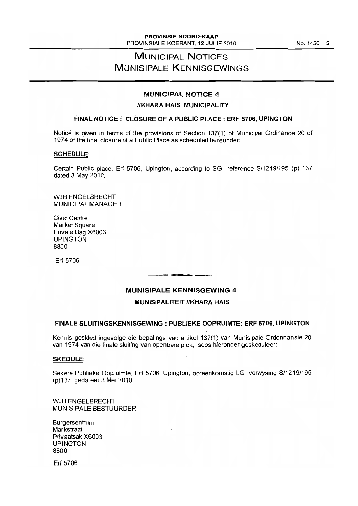# **MUNICIPAL NOTICES MUNISIPALE KENNISGEWINGS**

# **MUNICIPAL NOTICE 4**

## **IIKHARA HAIS MUNICIPALITY**

# **FINAL NOTICE: CLOSURE OF A PUBLIC PLACE: ERF 5706, UPINGTON**

Notice is given in terms of the provisions of Section 137(1) of Municipal Ordinance 20 of 1974 of the final closure of a Public Place as scheduled hereunder:

### **SCHEDULE:**

Certain Public place, Erf 5706, Upington, according to SG reference S/1219/195 (p) 137 dated 3 May 2010.

WJB ENGELBRECHT MUNICIPAL MANAGER

Civic Centre Market Square Private Bag X6003 UPINGTON 8800

Erf 5706

# **MUNISIPALE KENNISGEWING 4**

**• •** 

## **MUNISIPALITEIT IIKHARA HAIS**

## **FINALE SLUITINGSKENNISGEWING : PUBLIEKE OOPRUIMTE: ERF 5706, UPINGTON**

Kennis geskied ingevolge die bepalings van artikel 137(1) van Munisipale Ordonnansie 20 van 1974 van die finale sluiting van openbare plek, soos hieronder geskeduleer:

#### **SKEDULE:**

Sekere Publieke Oopruimte, Erf 5706, Upington, ooreenkomstig LG verwysing S/1219/195 (p)137 gedateer 3 Mei 2010.

WJB ENGELBRECHT MUNISIPALE BESTUURDER

Burgersentrum **Markstraat** Privaatsak X6003 UPINGTON 8800

Erf 5706